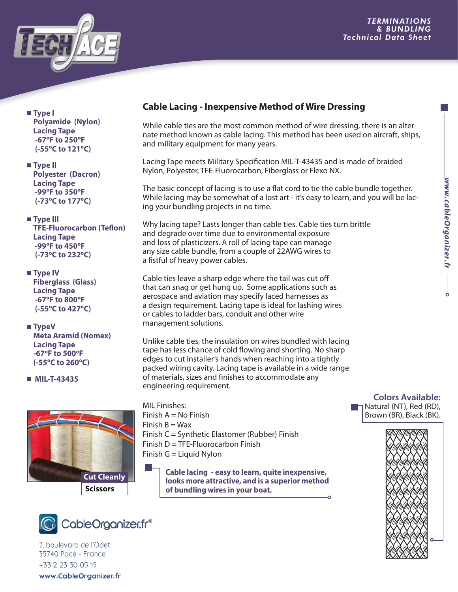

 **Type I Polyamide (Nylon) Lacing Tape -67ºF to 250ºF (-55ºC to 121ºC)**

- **Type II Polyester (Dacron) Lacing Tape -99ºF to 350ºF (-73ºC to 177ºC)**
- **Type III TFE-Fluorocarbon (Teflon) Lacing Tape -99ºF to 450ºF (-73ºC to 232ºC)**
- **Type IV Fiberglass (Glass) Lacing Tape -67ºF to 800ºF (-55ºC to 427ºC)**
- **TypeV Meta Aramid (Nomex) Lacing Tape -67ºF to 500ºF (-55ºC to 260ºC)**
- **MIL-T-43435**





7. boulevard de l'Odet 35740 Pacé - France +33 2 23 30 05 15 www.CableOrganizer.fr

## **Cable Lacing - Inexpensive Method of Wire Dressing**

While cable ties are the most common method of wire dressing, there is an alternate method known as cable lacing. This method has been used on aircraft, ships, and military equipment for many years.

Lacing Tape meets Military Specification MIL-T-43435 and is made of braided Nylon, Polyester, TFE-Fluorocarbon, Fiberglass or Flexo NX.

The basic concept of lacing is to use a flat cord to tie the cable bundle together. While lacing may be somewhat of a lost art - it's easy to learn, and you will be lacing your bundling projects in no time.

Why lacing tape? Lasts longer than cable ties. Cable ties turn brittle and degrade over time due to environmental exposure and loss of plasticizers. A roll of lacing tape can manage any size cable bundle, from a couple of 22AWG wires to a fistful of heavy power cables.

Cable ties leave a sharp edge where the tail was cut off that can snag or get hung up. Some applications such as aerospace and aviation may specify laced harnesses as a design requirement. Lacing tape is ideal for lashing wires or cables to ladder bars, conduit and other wire management solutions.

Unlike cable ties, the insulation on wires bundled with lacing tape has less chance of cold flowing and shorting. No sharp edges to cut installer's hands when reaching into a tightly packed wiring cavity. Lacing tape is available in a wide range of materials, sizes and finishes to accommodate any engineering requirement.

- MIL Finishes: Finish  $A = No$  Finish Finish  $B = Wax$ Finish C = Synthetic Elastomer (Rubber) Finish Finish  $D = TFE$ -Fluorocarbon Finish Finish  $G =$  Liquid Nylon
	- **Cable lacing easy to learn, quite inexpensive, looks more attractive, and is a superior method of bundling wires in your boat.**

## **Colors Available:** Natural (NT), Red (RD), Brown (BR), Black (BK).

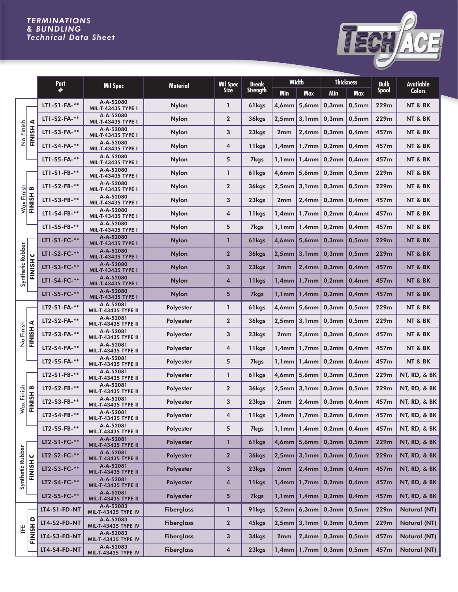## *TERMINATIONS & BUNDLING Technical Data Sheet*



|                          |                       | Part                | <b>Mil Spec</b>                  | <b>Material</b>   | <b>Mil Spec</b> | <b>Break</b>      | <b>Width</b>    |                | <b>Thickness</b>                 |            | <b>Bulk</b> | <b>Available</b>        |
|--------------------------|-----------------------|---------------------|----------------------------------|-------------------|-----------------|-------------------|-----------------|----------------|----------------------------------|------------|-------------|-------------------------|
|                          |                       | #                   |                                  |                   | <b>Size</b>     | <b>Strength</b>   | Min             | <b>Max</b>     | <b>Min</b>                       | <b>Max</b> | Spool       | <b>Colors</b>           |
| No Finish                |                       | LT1-S1-FA-**        | A-A-52080<br>MIL-T-43435 TYPE I  | <b>Nylon</b>      | $\mathbf{1}$    | 61kgs             | 4,6mm           | 5,6mm          | $0,3$ mm                         | $0,5$ mm   | 229m        | NT & BK                 |
|                          |                       | LT1-S2-FA-**        | A-A-52080<br>MIL-T-43435 TYPE I  | <b>Nylon</b>      | $\overline{2}$  | 36kgs             | $2,5$ mm        | 3,1mm          | $0,3$ mm                         | $0,5$ mm   | 229m        | NT & BK                 |
|                          | FINISH A              | LT1-S3-FA-**        | A-A-52080<br>MIL-T-43435 TYPE I  | <b>Nylon</b>      | 3               | 23kgs             | 2 <sub>mm</sub> | 2,4mm          | $0,3$ mm                         | $0,4$ mm   | 457m        | NT & BK                 |
|                          |                       | LT1-S4-FA-**        | A-A-52080<br>MIL-T-43435 TYPE I  | <b>Nylon</b>      | $\overline{4}$  | 11kgs             | 1,4 $mm$ $\mid$ | $1,7$ mm       | 0,2mm                            | $0,4$ mm   | 457m        | NT & BK                 |
|                          |                       | LT1-S5-FA-**        | A-A-52080<br>MIL-T-43435 TYPE I  | <b>Nylon</b>      | 5               | 7kgs              | $1,1$ mm        | 1,4mm          | 0,2mm                            | $0,4$ mm   | 457m        | NT & BK                 |
|                          |                       | LT1-S1-FB-**        | A-A-52080<br>MIL-T-43435 TYPE I  | <b>Nylon</b>      | $\mathbf{1}$    | 61kgs             | $4,6$ mm        | $5,6$ mm       | $0,3$ mm                         | $0,5$ mm   | 229m        | NT & BK                 |
|                          |                       | LT1-S2-FB-**        | A-A-52080<br>MIL-T-43435 TYPE I  | <b>Nylon</b>      | $\overline{2}$  | 36kgs             | 2,5mm           | 3,1mm          | $0,3$ mm                         | $0,5$ mm   | 229m        | NT & BK                 |
| Wax Finish               | FINISH B              | LT1-S3-FB-**        | A-A-52080<br>MIL-T-43435 TYPE I  | <b>Nylon</b>      | 3               | 23kgs             | 2 <sub>mm</sub> | 2,4mm          | $0,3$ mm                         | $0,4$ mm   | 457m        | NT & BK                 |
|                          |                       | LT1-S4-FB-**        | A-A-52080<br>MIL-T-43435 TYPE I  | <b>Nylon</b>      | $\overline{4}$  | 11kgs             | 1,4mm           | $1,7$ mm       | 0,2mm                            | $0,4$ mm   | 457m        | NT & BK                 |
|                          |                       | LT1-S5-FB-**        | A-A-52080<br>MIL-T-43435 TYPE I  | <b>Nylon</b>      | 5               | 7kgs              | $1.1$ mm        | 1,4mm          | 0,2mm                            | $0,4$ mm   | 457m        | NT & BK                 |
|                          |                       | $LT1-S1-FC-***$     | A-A-52080<br>MIL-T-43435 TYPE I  | <b>Nylon</b>      | $\mathbf{1}$    | 61kgs             |                 | $4,6$ mm 5,6mm | $0,3$ mm                         | $0,5$ mm   | 229m        | NT & BK                 |
| Synthetic Rubber         | $\bullet$             | LT1-S2-FC-**        | A-A-52080<br>MIL-T-43435 TYPE I  | <b>Nylon</b>      | $\overline{2}$  | 36kgs             | $2,5$ mm        | 3,1mm          | $ 0,3$ mm                        | $0,5$ mm   | 229m        | NT & BK                 |
|                          | FINISH                | LT1-S3-FC-**        | A-A-52080<br>MIL-T-43435 TYPE I  | <b>Nylon</b>      | 3               | 23kgs             | 2 <sub>mm</sub> | 2,4mm          | $0,3$ mm                         | $0,4$ mm   | 457m        | NT & BK                 |
|                          |                       | LT1-S4-FC-**        | A-A-52080<br>MIL-T-43435 TYPE I  | <b>Nylon</b>      | $\overline{4}$  | 11kgs             | $1,4$ mm        | $1,7$ mm       | $ 0,2$ mm                        | $0,4$ mm   | 457m        | NT & BK                 |
|                          |                       | LT1-S5-FC-**        | A-A-52080<br>MIL-T-43435 TYPE I  | <b>Nylon</b>      | $5\phantom{1}$  | <b>7kgs</b>       | $1,1$ mm        | 1,4mm          | 0,2mm                            | $0,4$ mm   | 457m        | NT & BK                 |
|                          |                       | LT2-S1-FA-**        | A-A-52081<br>MIL-T-43435 TYPE II | <b>Polyester</b>  | $\mathbf{1}$    | 61kgs             | 4,6mm           | 5,6mm          | $0,3$ mm                         | $0,5$ mm   | 229m        | NT & BK                 |
|                          | $\blacktriangleleft$  | LT2-S2-FA-**        | A-A-52081<br>MIL-T-43435 TYPE II | <b>Polyester</b>  | $\overline{2}$  | 36kgs             | 2,5mm           | 3,1mm          | $0,3$ mm                         | $0,5$ mm   | 229m        | NT & BK                 |
| No Finish                | FINISH                | LT2-S3-FA-**        | A-A-52081<br>MIL-T-43435 TYPE II | <b>Polyester</b>  | 3               | 23kgs             | 2 <sub>mm</sub> | 2,4mm          | $0,3$ mm                         | $0,4$ mm   | 457m        | NT & BK                 |
|                          |                       | LT2-S4-FA-**        | A-A-52081<br>MIL-T-43435 TYPE II | <b>Polyester</b>  | $\overline{4}$  | 11kgs             | 1,4mm           | $1,7$ mm       | 0,2mm                            | $0,4$ mm   | 457m        | NT & BK                 |
|                          |                       | LT2-S5-FA-**        | A-A-52081<br>MIL-T-43435 TYPE II | <b>Polyester</b>  | 5               | 7kgs              | $1,1$ mm $\mid$ | 1,4mm          | 0,2mm                            | $0,4$ mm   | 457m        | NT & BK                 |
|                          |                       | LT2-S1-FB-**        | A-A-52081<br>MIL-T-43435 TYPE II | <b>Polyester</b>  | $\mathbf{1}$    | 61kgs             | $4,6$ mm        | $5,6$ mm       | $0,3$ mm                         | $0,5$ mm   | 229m        | NT, RD, & BK            |
|                          | $\boldsymbol{\omega}$ | LT2-S2-FB-**        | A-A-52081<br>MIL-T-43435 TYPE II | <b>Polyester</b>  | $\overline{2}$  | 36kgs             | 2,5mm           | 3,1mm          | $ 0,3$ mm                        | $0,5$ mm   | 229m        | NT, RD, & BK            |
| Wax Finish               | FINISH                | LT2-S3-FB-**        | A-A-52081<br>MIL-T-43435 TYPE II | <b>Polyester</b>  | 3               | 23kgs             | 2 <sub>mm</sub> | 2,4mm          | $ 0,3$ mm                        | $0,4$ mm   | 457m        | NT, RD, & BK            |
|                          |                       | LT2-S4-FB-**        | A-A-52081<br>MIL-T-43435 TYPE II | Polyester         | 4               | 11kgs             |                 |                | $1,4$ mm   1,7mm   0,2mm   0,4mm |            | 457m        | NT, RD, & BK            |
|                          |                       | LT2-S5-FB-**        | A-A-52081<br>MIL-T-43435 TYPE II | Polyester         | 5               | <b>7kgs</b>       |                 |                | $1,1$ mm   $1,4$ mm   0,2mm      | $0,4$ mm   | 457m        | <b>NT, RD, &amp; BK</b> |
| Synthetic Rubber         |                       | LT2-S1-FC-**        | A-A-52081<br>MIL-T-43435 TYPE II | <b>Polyester</b>  | $\mathbf{1}$    | 61kgs             |                 |                | $4,6$ mm   5,6mm   0,3mm         | $0,5$ mm   | 229m        | NT, RD, & BK            |
|                          | $\mathbf C$           | LT2-S2-FC-**        | A-A-52081<br>MIL-T-43435 TYPE II | Polyester         | $\overline{2}$  | 36kgs             |                 |                | $2,5$ mm 3,1mm 0,3mm             | $0,5$ mm   | 229m        | <b>NT, RD, &amp; BK</b> |
|                          | FINISH                | LT2-S3-FC-**        | A-A-52081<br>MIL-T-43435 TYPE II | <b>Polyester</b>  | 3               | 23kgs             | 2 <sub>mm</sub> |                | $2,4$ mm 0,3mm                   | $0,4$ mm   | 457m        | NT, RD, & BK            |
|                          |                       | LT2-S4-FC-**        | A-A-52081<br>MIL-T-43435 TYPE II | Polyester         | $\overline{4}$  | 11 <sub>kgs</sub> |                 |                | $1,4$ mm   1,7mm   0,2mm         | $0,4$ mm   | 457m        | <b>NT, RD, &amp; BK</b> |
|                          |                       | LT2-S5-FC-**        | A-A-52081<br>MIL-T-43435 TYPE II | <b>Polyester</b>  | 5               | <b>7kgs</b>       | $1,1$ mm        | 1,4mm          | $ 0,2$ mm                        | $0,4$ mm   | 457m        | NT, RD, & BK            |
| FINISH <sub>D</sub><br>Ë |                       | <b>LT4-S1-FD-NT</b> | A-A-52083<br>MIL-T-43435 TYPE IV | <b>Fiberglass</b> | $\mathbf{1}$    | 91 <sub>kgs</sub> |                 |                | $5,2mm$ 6,3mm 0,3mm              | $0,5$ mm   | 229m        | Natural (NT)            |
|                          |                       | <b>LT4-S2-FD-NT</b> | A-A-52083<br>MIL-T-43435 TYPE IV | <b>Fiberglass</b> | $\overline{2}$  | 45kgs             |                 |                | $2,5$ mm 3,1mm 0,3mm             | $0,5$ mm   | 229m        | Natural (NT)            |
|                          |                       | <b>LT4-S3-FD-NT</b> | A-A-52083<br>MIL-T-43435 TYPE IV | <b>Fiberglass</b> | 3               | 34kgs             | 2 <sub>mm</sub> |                | $2,4$ mm $\vert 0,3$ mm          | $0,5$ mm   | 457m        | Natural (NT)            |
|                          |                       | <b>LT4-S4-FD-NT</b> | A-A-52083<br>MIL-T-43435 TYPE IV | <b>Fiberglass</b> | 4               | 23kgs             |                 |                | 1,4mm   1,7mm   0,3mm            | $0,5$ mm   | 457m        | Natural (NT)            |